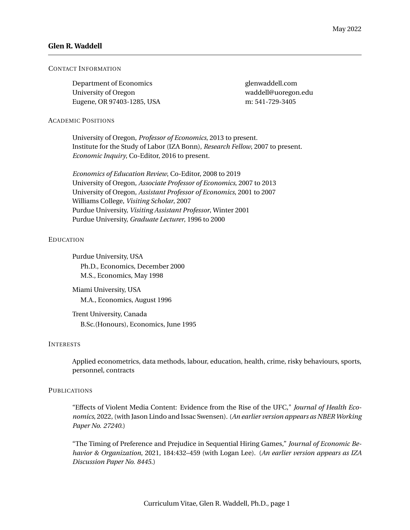# **Glen R. Waddell**

#### CONTACT INFORMATION

Department of Economics glenwaddell.com University of Oregon waddell@uoregon.edu Eugene, OR 97403-1285, USA m: 541-729-3405

#### ACADEMIC POSITIONS

University of Oregon, *Professor of Economics*, 2013 to present. Institute for the Study of Labor (IZA Bonn), *Research Fellow*, 2007 to present. *Economic Inquiry*, Co-Editor, 2016 to present.

*Economics of Education Review*, Co-Editor, 2008 to 2019 University of Oregon, *Associate Professor of Economics*, 2007 to 2013 University of Oregon, *Assistant Professor of Economics*, 2001 to 2007 Williams College, *Visiting Scholar*, 2007 Purdue University, *Visiting Assistant Professor*, Winter 2001 Purdue University, *Graduate Lecturer*, 1996 to 2000

# EDUCATION

Purdue University, USA Ph.D., Economics, December 2000 M.S., Economics, May 1998

Miami University, USA M.A., Economics, August 1996

Trent University, Canada B.Sc.(Honours), Economics, June 1995

#### INTERESTS

Applied econometrics, data methods, labour, education, health, crime, risky behaviours, sports, personnel, contracts

# **PUBLICATIONS**

"Effects of Violent Media Content: Evidence from the Rise of the UFC," *Journal of Health Economics*, 2022, (with Jason Lindo and Issac Swensen). (*An earlier version appears as NBER Working Paper No. 27240*.)

"The Timing of Preference and Prejudice in Sequential Hiring Games," *Journal of Economic Behavior & Organization*, 2021, 184:432–459 (with Logan Lee). (*An earlier version appears as IZA Discussion Paper No. 8445*.)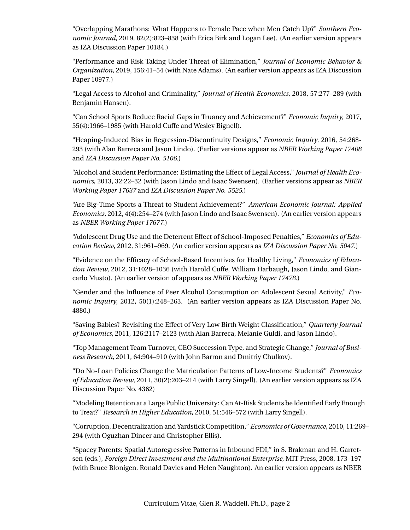"Overlapping Marathons: What Happens to Female Pace when Men Catch Up?" *Southern Economic Journal*, 2019, 82(2):823–838 (with Erica Birk and Logan Lee). (An earlier version appears as IZA Discussion Paper 10184.)

"Performance and Risk Taking Under Threat of Elimination," *Journal of Economic Behavior & Organization*, 2019, 156:41–54 (with Nate Adams). (An earlier version appears as IZA Discussion Paper 10977.)

"Legal Access to Alcohol and Criminality," *Journal of Health Economics*, 2018, 57:277–289 (with Benjamin Hansen).

"Can School Sports Reduce Racial Gaps in Truancy and Achievement?" *Economic Inquiry*, 2017, 55(4):1966–1985 (with Harold Cuffe and Wesley Bignell).

"Heaping-Induced Bias in Regression-Discontinuity Designs," *Economic Inquiry*, 2016, 54:268- 293 (with Alan Barreca and Jason Lindo). (Earlier versions appear as *NBER Working Paper 17408* and *IZA Discussion Paper No. 5106*.)

"Alcohol and Student Performance: Estimating the Effect of Legal Access," *Journal of Health Economics*, 2013, 32:22–32 (with Jason Lindo and Isaac Swensen). (Earlier versions appear as *NBER Working Paper 17637* and *IZA Discussion Paper No. 5525*.)

"Are Big-Time Sports a Threat to Student Achievement?" *American Economic Journal: Applied Economics*, 2012, 4(4):254–274 (with Jason Lindo and Isaac Swensen). (An earlier version appears as *NBER Working Paper 17677*.)

"Adolescent Drug Use and the Deterrent Effect of School-Imposed Penalties," *Economics of Education Review*, 2012, 31:961–969. (An earlier version appears as *IZA Discussion Paper No. 5047*.)

"Evidence on the Efficacy of School-Based Incentives for Healthy Living," *Economics of Education Review*, 2012, 31:1028–1036 (with Harold Cuffe, William Harbaugh, Jason Lindo, and Giancarlo Musto). (An earlier version of appears as *NBER Working Paper 17478*.)

"Gender and the Influence of Peer Alcohol Consumption on Adolescent Sexual Activity," *Economic Inquiry*, 2012, 50(1):248–263. (An earlier version appears as IZA Discussion Paper No. 4880.)

"Saving Babies? Revisiting the Effect of Very Low Birth Weight Classification," *Quarterly Journal of Economics*, 2011, 126:2117–2123 (with Alan Barreca, Melanie Guldi, and Jason Lindo).

"Top Management Team Turnover, CEO Succession Type, and Strategic Change," *Journal of Business Research*, 2011, 64:904–910 (with John Barron and Dmitriy Chulkov).

"Do No-Loan Policies Change the Matriculation Patterns of Low-Income Students?" *Economics of Education Review*, 2011, 30(2):203–214 (with Larry Singell). (An earlier version appears as IZA Discussion Paper No. 4362)

"Modeling Retention at a Large Public University: Can At-Risk Students be Identified Early Enough to Treat?" *Research in Higher Education*, 2010, 51:546–572 (with Larry Singell).

"Corruption, Decentralization and Yardstick Competition," *Economics of Governance*, 2010, 11:269– 294 (with Oguzhan Dincer and Christopher Ellis).

"Spacey Parents: Spatial Autoregressive Patterns in Inbound FDI," in S. Brakman and H. Garretsen (eds.), *Foreign Direct Investment and the Multinational Enterprise*, MIT Press, 2008, 173–197 (with Bruce Blonigen, Ronald Davies and Helen Naughton). An earlier version appears as NBER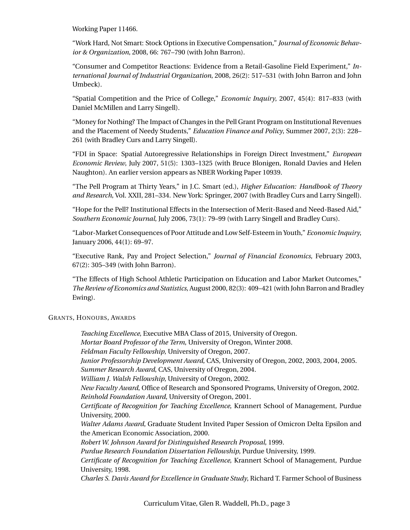Working Paper 11466.

"Work Hard, Not Smart: Stock Options in Executive Compensation," *Journal of Economic Behavior & Organization*, 2008, 66: 767–790 (with John Barron).

"Consumer and Competitor Reactions: Evidence from a Retail-Gasoline Field Experiment," *International Journal of Industrial Organization*, 2008, 26(2): 517–531 (with John Barron and John Umbeck).

"Spatial Competition and the Price of College," *Economic Inquiry*, 2007, 45(4): 817–833 (with Daniel McMillen and Larry Singell).

"Money for Nothing? The Impact of Changes in the Pell Grant Program on Institutional Revenues and the Placement of Needy Students," *Education Finance and Policy*, Summer 2007, 2(3): 228– 261 (with Bradley Curs and Larry Singell).

"FDI in Space: Spatial Autoregressive Relationships in Foreign Direct Investment," *European Economic Review*, July 2007, 51(5): 1303–1325 (with Bruce Blonigen, Ronald Davies and Helen Naughton). An earlier version appears as NBER Working Paper 10939.

"The Pell Program at Thirty Years," in J.C. Smart (ed.), *Higher Education: Handbook of Theory and Research*, Vol. XXII, 281–334. New York: Springer, 2007 (with Bradley Curs and Larry Singell).

"Hope for the Pell? Institutional Effects in the Intersection of Merit-Based and Need-Based Aid," *Southern Economic Journal*, July 2006, 73(1): 79–99 (with Larry Singell and Bradley Curs).

"Labor-Market Consequences of Poor Attitude and Low Self-Esteem in Youth," *Economic Inquiry*, January 2006, 44(1): 69–97.

"Executive Rank, Pay and Project Selection," *Journal of Financial Economics*, February 2003, 67(2): 305–349 (with John Barron).

"The Effects of High School Athletic Participation on Education and Labor Market Outcomes," *The Review of Economics and Statistics*, August 2000, 82(3): 409–421 (with John Barron and Bradley Ewing).

# GRANTS, HONOURS, AWARDS

*Teaching Excellence*, Executive MBA Class of 2015, University of Oregon. *Mortar Board Professor of the Term*, University of Oregon, Winter 2008. *Feldman Faculty Fellowship*, University of Oregon, 2007. *Junior Professorship Development Award*, CAS, University of Oregon, 2002, 2003, 2004, 2005. *Summer Research Award*, CAS, University of Oregon, 2004. *William J. Walsh Fellowship*, University of Oregon, 2002. *New Faculty Award*, Office of Research and Sponsored Programs, University of Oregon, 2002. *Reinhold Foundation Award*, University of Oregon, 2001. *Certificate of Recognition for Teaching Excellence*, Krannert School of Management, Purdue University, 2000. *Walter Adams Award*, Graduate Student Invited Paper Session of Omicron Delta Epsilon and the American Economic Association, 2000. *Robert W. Johnson Award for Distinguished Research Proposal*, 1999. *Purdue Research Foundation Dissertation Fellowship*, Purdue University, 1999. *Certificate of Recognition for Teaching Excellence*, Krannert School of Management, Purdue University, 1998. *Charles S. Davis Award for Excellence in Graduate Study*, Richard T. Farmer School of Business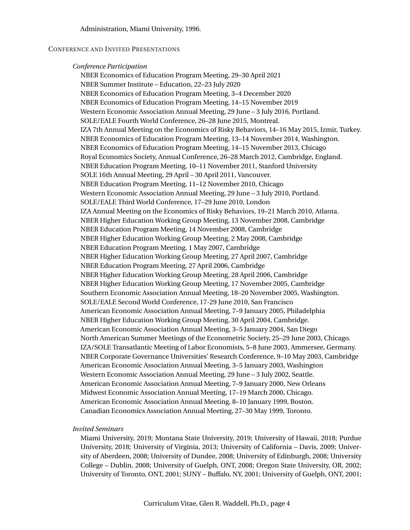# Administration, Miami University, 1996.

# CONFERENCE AND INVITED PRESENTATIONS

### *Conference Participation*

NBER Economics of Education Program Meeting, 29–30 April 2021 NBER Summer Institute – Education, 22–23 July 2020 NBER Economics of Education Program Meeting, 3–4 December 2020 NBER Economics of Education Program Meeting, 14–15 November 2019 Western Economic Association Annual Meeting, 29 June – 3 July 2016, Portland. SOLE/EALE Fourth World Conference, 26–28 June 2015, Montreal. IZA 7th Annual Meeting on the Economics of Risky Behaviors, 14–16 May 2015, Izmir, Turkey. NBER Economics of Education Program Meeting, 13–14 November 2014, Washington. NBER Economics of Education Program Meeting, 14–15 November 2013, Chicago Royal Economics Society, Annual Conference, 26–28 March 2012, Cambridge, England. NBER Education Program Meeting, 10–11 November 2011, Stanford University SOLE 16th Annual Meeting, 29 April – 30 April 2011, Vancouver. NBER Education Program Meeting, 11–12 November 2010, Chicago Western Economic Association Annual Meeting, 29 June – 3 July 2010, Portland. SOLE/EALE Third World Conference, 17–29 June 2010, London IZA Annual Meeting on the Economics of Risky Behaviors, 19–21 March 2010, Atlanta. NBER Higher Education Working Group Meeting, 13 November 2008, Cambridge NBER Education Program Meeting, 14 November 2008, Cambridge NBER Higher Education Working Group Meeting, 2 May 2008, Cambridge NBER Education Program Meeting, 1 May 2007, Cambridge NBER Higher Education Working Group Meeting, 27 April 2007, Cambridge NBER Education Program Meeting, 27 April 2006, Cambridge NBER Higher Education Working Group Meeting, 28 April 2006, Cambridge NBER Higher Education Working Group Meeting, 17 November 2005, Cambridge Southern Economic Association Annual Meeting, 18–20 November 2005, Washington. SOLE/EALE Second World Conference, 17-29 June 2010, San Francisco American Economic Association Annual Meeting, 7–9 January 2005, Philadelphia NBER Higher Education Working Group Meeting, 30 April 2004, Cambridge. American Economic Association Annual Meeting, 3–5 January 2004, San Diego North American Summer Meetings of the Econometric Society, 25–29 June 2003, Chicago. IZA/SOLE Transatlantic Meeting of Labor Economists, 5–8 June 2003, Ammersee, Germany. NBER Corporate Governance Universities' Research Conference, 9–10 May 2003, Cambridge American Economic Association Annual Meeting, 3–5 January 2003, Washington Western Economic Association Annual Meeting, 29 June – 3 July 2002, Seattle. American Economic Association Annual Meeting, 7–9 January 2000, New Orleans Midwest Economic Association Annual Meeting, 17–19 March 2000, Chicago. American Economic Association Annual Meeting, 8–10 January 1999, Boston. Canadian Economics Association Annual Meeting, 27–30 May 1999, Toronto.

# *Invited Seminars*

Miami University, 2019; Montana State University, 2019; University of Hawaii, 2018; Purdue University, 2018; University of Virginia, 2013; University of California – Davis, 2009; University of Aberdeen, 2008; University of Dundee, 2008; University of Edinburgh, 2008; University College – Dublin, 2008; University of Guelph, ONT, 2008; Oregon State University, OR, 2002; University of Toronto, ONT, 2001; SUNY – Buffalo, NY, 2001; University of Guelph, ONT, 2001;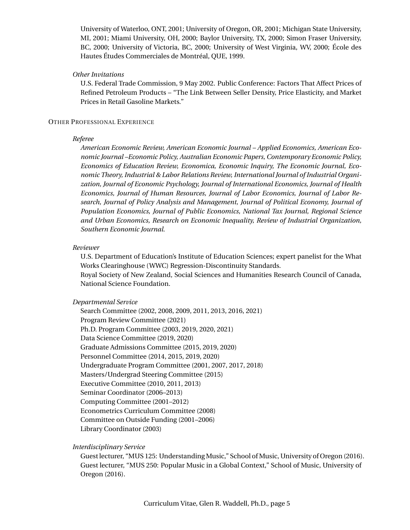University of Waterloo, ONT, 2001; University of Oregon, OR, 2001; Michigan State University, MI, 2001; Miami University, OH, 2000; Baylor University, TX, 2000; Simon Fraser University, BC, 2000; University of Victoria, BC, 2000; University of West Virginia, WV, 2000; École des Hautes Études Commerciales de Montréal, QUE, 1999.

### *Other Invitations*

U.S. Federal Trade Commission, 9 May 2002. Public Conference: Factors That Affect Prices of Refined Petroleum Products – "The Link Between Seller Density, Price Elasticity, and Market Prices in Retail Gasoline Markets."

# OTHER PROFESSIONAL EXPERIENCE

#### *Referee*

*American Economic Review, American Economic Journal – Applied Economics, American Economic Journal –Economic Policy, Australian Economic Papers, Contemporary Economic Policy, Economics of Education Review, Economica, Economic Inquiry, The Economic Journal, Economic Theory, Industrial & Labor Relations Review, International Journal of Industrial Organization, Journal of Economic Psychology, Journal of International Economics, Journal of Health Economics, Journal of Human Resources, Journal of Labor Economics, Journal of Labor Research, Journal of Policy Analysis and Management, Journal of Political Economy, Journal of Population Economics, Journal of Public Economics, National Tax Journal, Regional Science and Urban Economics, Research on Economic Inequality, Review of Industrial Organization, Southern Economic Journal*.

#### *Reviewer*

U.S. Department of Education's Institute of Education Sciences; expert panelist for the What Works Clearinghouse (WWC) Regression-Discontinuity Standards.

Royal Society of New Zealand, Social Sciences and Humanities Research Council of Canada, National Science Foundation.

# *Departmental Service*

Search Committee (2002, 2008, 2009, 2011, 2013, 2016, 2021) Program Review Committee (2021) Ph.D. Program Committee (2003, 2019, 2020, 2021) Data Science Committee (2019, 2020) Graduate Admissions Committee (2015, 2019, 2020) Personnel Committee (2014, 2015, 2019, 2020) Undergraduate Program Committee (2001, 2007, 2017, 2018) Masters/Undergrad Steering Committee (2015) Executive Committee (2010, 2011, 2013) Seminar Coordinator (2006–2013) Computing Committee (2001–2012) Econometrics Curriculum Committee (2008) Committee on Outside Funding (2001–2006) Library Coordinator (2003)

# *Interdisciplinary Service*

Guest lecturer, "MUS 125: Understanding Music," School of Music, University of Oregon (2016). Guest lecturer, "MUS 250: Popular Music in a Global Context," School of Music, University of Oregon (2016).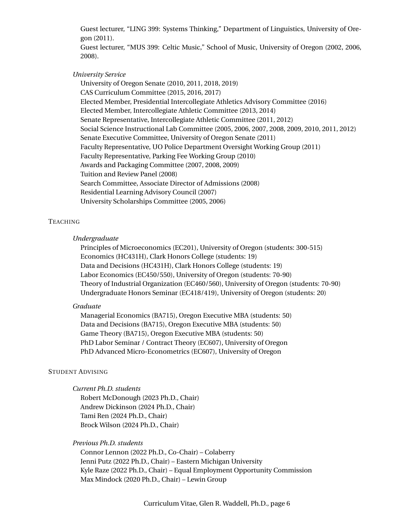Guest lecturer, "LING 399: Systems Thinking," Department of Linguistics, University of Oregon (2011).

Guest lecturer, "MUS 399: Celtic Music," School of Music, University of Oregon (2002, 2006, 2008).

*University Service*

University of Oregon Senate (2010, 2011, 2018, 2019) CAS Curriculum Committee (2015, 2016, 2017) Elected Member, Presidential Intercollegiate Athletics Advisory Committee (2016) Elected Member, Intercollegiate Athletic Committee (2013, 2014) Senate Representative, Intercollegiate Athletic Committee (2011, 2012) Social Science Instructional Lab Committee (2005, 2006, 2007, 2008, 2009, 2010, 2011, 2012) Senate Executive Committee, University of Oregon Senate (2011) Faculty Representative, UO Police Department Oversight Working Group (2011) Faculty Representative, Parking Fee Working Group (2010) Awards and Packaging Committee (2007, 2008, 2009) Tuition and Review Panel (2008) Search Committee, Associate Director of Admissions (2008) Residential Learning Advisory Council (2007) University Scholarships Committee (2005, 2006)

# **TEACHING**

### *Undergraduate*

Principles of Microeconomics (EC201), University of Oregon (students: 300-515) Economics (HC431H), Clark Honors College (students: 19) Data and Decisions (HC431H), Clark Honors College (students: 19) Labor Economics (EC450/550), University of Oregon (students: 70-90) Theory of Industrial Organization (EC460/560), University of Oregon (students: 70-90) Undergraduate Honors Seminar (EC418/419), University of Oregon (students: 20)

## *Graduate*

Managerial Economics (BA715), Oregon Executive MBA (students: 50) Data and Decisions (BA715), Oregon Executive MBA (students: 50) Game Theory (BA715), Oregon Executive MBA (students: 50) PhD Labor Seminar / Contract Theory (EC607), University of Oregon PhD Advanced Micro-Econometrics (EC607), University of Oregon

# STUDENT ADVISING

*Current Ph.D. students*

Robert McDonough (2023 Ph.D., Chair) Andrew Dickinson (2024 Ph.D., Chair) Tami Ren (2024 Ph.D., Chair) Brock Wilson (2024 Ph.D., Chair)

# *Previous Ph.D. students*

Connor Lennon (2022 Ph.D., Co-Chair) – Colaberry Jenni Putz (2022 Ph.D., Chair) – Eastern Michigan University Kyle Raze (2022 Ph.D., Chair) – Equal Employment Opportunity Commission Max Mindock (2020 Ph.D., Chair) – Lewin Group